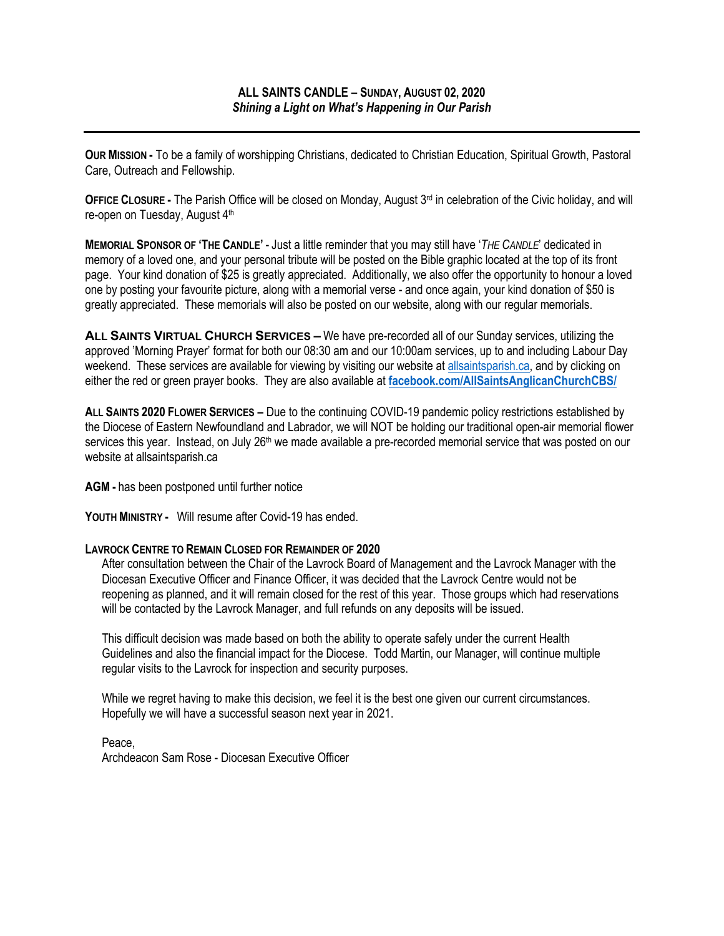**OUR MISSION -** To be a family of worshipping Christians, dedicated to Christian Education, Spiritual Growth, Pastoral Care, Outreach and Fellowship.

**OFFICE CLOSURE -** The Parish Office will be closed on Monday, August 3<sup>rd</sup> in celebration of the Civic holiday, and will re-open on Tuesday, August 4th

**MEMORIAL SPONSOR OF 'THE CANDLE'** - Just a little reminder that you may still have '*THE CANDLE*' dedicated in memory of a loved one, and your personal tribute will be posted on the Bible graphic located at the top of its front page. Your kind donation of \$25 is greatly appreciated. Additionally, we also offer the opportunity to honour a loved one by posting your favourite picture, along with a memorial verse - and once again, your kind donation of \$50 is greatly appreciated. These memorials will also be posted on our website, along with our regular memorials.

**ALL SAINTS VIRTUAL CHURCH SERVICES –** We have pre-recorded all of our Sunday services, utilizing the approved 'Morning Prayer' format for both our 08:30 am and our 10:00am services, up to and including Labour Day weekend. These services are available for viewing by visiting our website at allsaintsparish.ca, and by clicking on either the red or green prayer books. They are also available at **facebook.com/AllSaintsAnglicanChurchCBS/**

**ALL SAINTS 2020 FLOWER SERVICES –** Due to the continuing COVID-19 pandemic policy restrictions established by the Diocese of Eastern Newfoundland and Labrador, we will NOT be holding our traditional open-air memorial flower services this year. Instead, on July 26<sup>th</sup> we made available a pre-recorded memorial service that was posted on our website at allsaintsparish.ca

**AGM -** has been postponed until further notice

**YOUTH MINISTRY -** Will resume after Covid-19 has ended.

## **LAVROCK CENTRE TO REMAIN CLOSED FOR REMAINDER OF 2020**

After consultation between the Chair of the Lavrock Board of Management and the Lavrock Manager with the Diocesan Executive Officer and Finance Officer, it was decided that the Lavrock Centre would not be reopening as planned, and it will remain closed for the rest of this year. Those groups which had reservations will be contacted by the Lavrock Manager, and full refunds on any deposits will be issued.

This difficult decision was made based on both the ability to operate safely under the current Health Guidelines and also the financial impact for the Diocese. Todd Martin, our Manager, will continue multiple regular visits to the Lavrock for inspection and security purposes.

While we regret having to make this decision, we feel it is the best one given our current circumstances. Hopefully we will have a successful season next year in 2021.

Peace, Archdeacon Sam Rose - Diocesan Executive Officer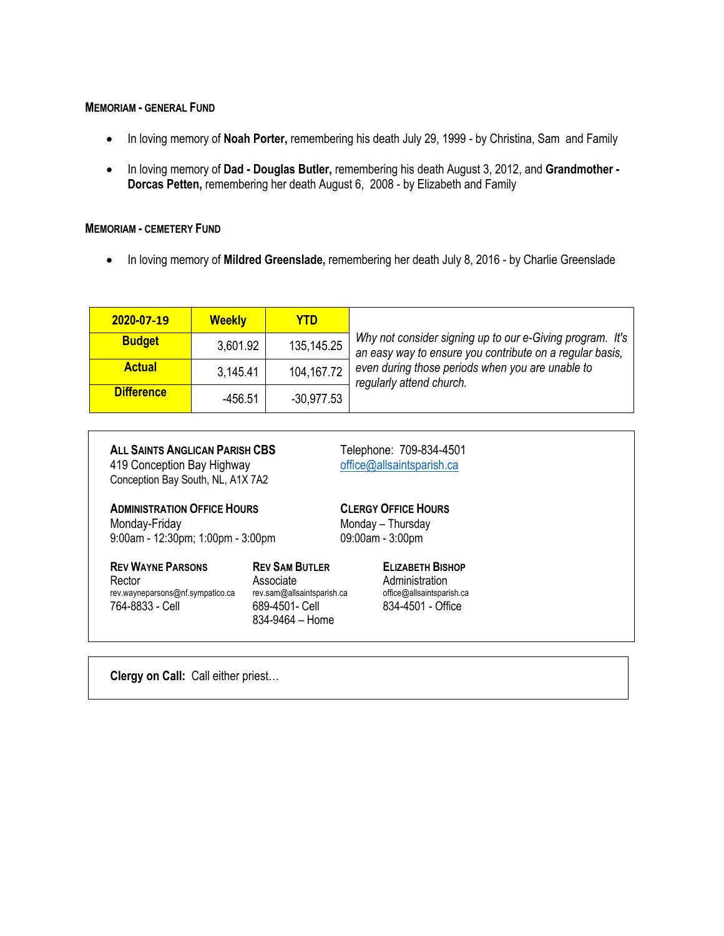## **MEMORIAM - GENERAL FUND**

- In loving memory of **Noah Porter,** remembering his death July 29, 1999 by Christina, Sam and Family
- In loving memory of **Dad - Douglas Butler,** remembering his death August 3, 2012, and **Grandmother - Dorcas Petten,** remembering her death August 6, 2008 - by Elizabeth and Family

## **MEMORIAM - CEMETERY FUND**

• In loving memory of **Mildred Greenslade,** remembering her death July 8, 2016 - by Charlie Greenslade

| 2020-07-19        | <b>Weekly</b> | <b>YTD</b>   |                                                                                                                       |  |  |
|-------------------|---------------|--------------|-----------------------------------------------------------------------------------------------------------------------|--|--|
| <b>Budget</b>     | 3,601.92      | 135,145.25   | Why not consider signing up to our e-Giving program. It's<br>an easy way to ensure you contribute on a regular basis, |  |  |
| <b>Actual</b>     | 3,145.41      | 104,167.72   | even during those periods when you are unable to<br>regularly attend church.                                          |  |  |
| <b>Difference</b> | $-456.51$     | $-30.977.53$ |                                                                                                                       |  |  |

| ALL SAINTS ANGLICAN PARISH CBS<br>419 Conception Bay Highway<br>Conception Bay South, NL, A1X 7A2 |                                                                                                                  |                                                                     | Telephone: 709-834-4501<br>office@allsaintsparish.ca                                        |  |
|---------------------------------------------------------------------------------------------------|------------------------------------------------------------------------------------------------------------------|---------------------------------------------------------------------|---------------------------------------------------------------------------------------------|--|
| <b>ADMINISTRATION OFFICE HOURS</b><br>Monday-Friday<br>9:00am - 12:30pm; 1:00pm - 3:00pm          |                                                                                                                  | <b>CLERGY OFFICE HOURS</b><br>Monday - Thursday<br>09:00am - 3:00pm |                                                                                             |  |
| <b>REV WAYNE PARSONS</b><br>Rector<br>rev.wayneparsons@nf.sympatico.ca<br>764-8833 - Cell         | <b>REV SAM BUTLER</b><br>Associate<br>rev.sam@allsaintsparish.ca<br>689-4501- Cell<br>$834 - 9464 - \text{Home}$ |                                                                     | <b>ELIZABETH BISHOP</b><br>Administration<br>office@allsaintsparish.ca<br>834-4501 - Office |  |
|                                                                                                   |                                                                                                                  |                                                                     |                                                                                             |  |

**Clergy on Call:** Call either priest…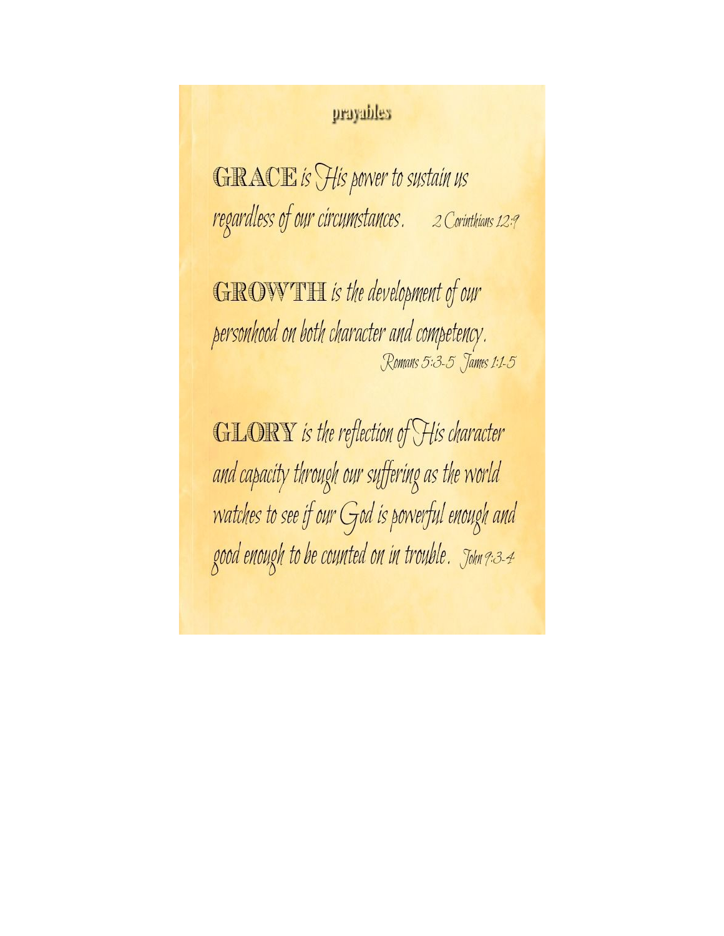## prayables

**GRACE** is His power to sustain us regardless of our circumstances. 2 Corinthians 12:9

**GROWTH** is the development of our personhood on both character and competency. Romans 5:3-5 James 1:1-5

**GLORY** is the reflection of His character and capacity through our suffering as the world watches to see if our God is powerful enough and good enough to be counted on in trouble. John 9:3-4